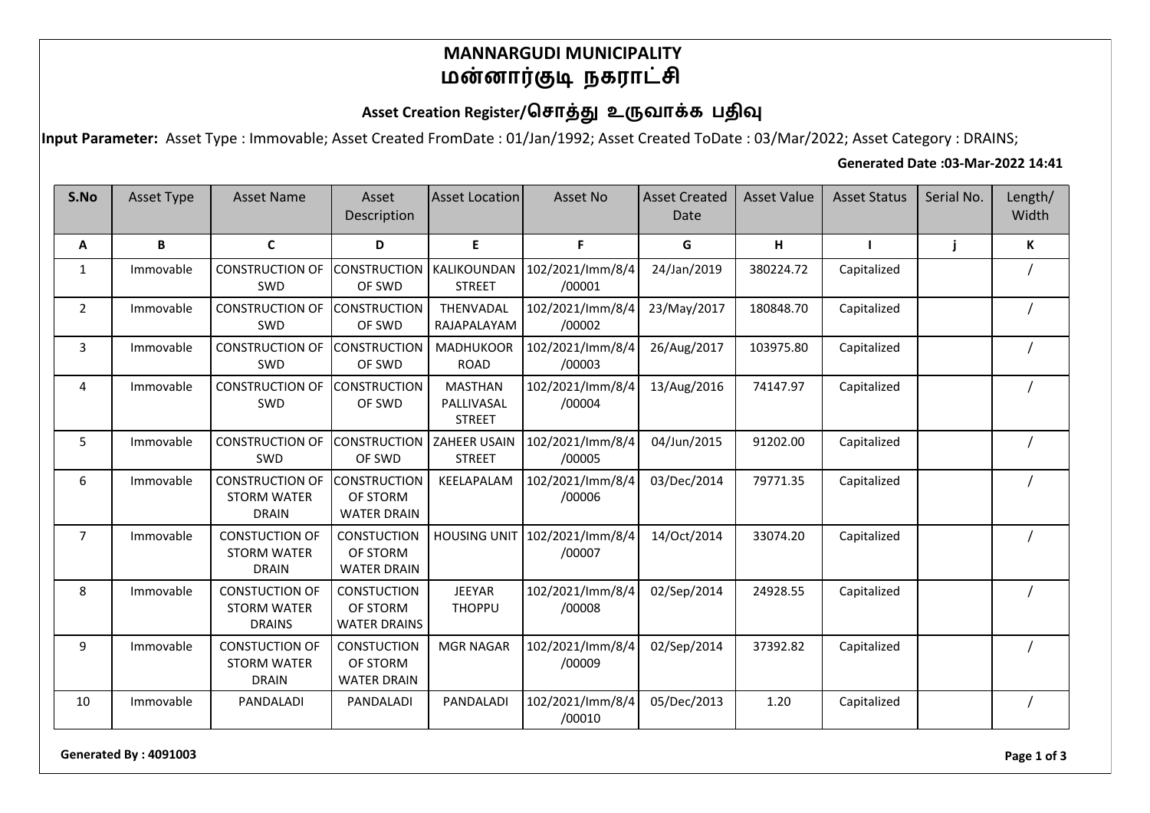#### **MANNARGUDI MUNICIPALITY மன்னார்குடி நகராட்சி**

# Asset Creation Register/சொத்து உருவாக்க பதிவு

**Input Parameter:** Asset Type : Immovable; Asset Created FromDate : 01/Jan/1992; Asset Created ToDate : 03/Mar/2022; Asset Category : DRAINS;

#### **Generated Date :03-Mar-2022 14:41**

| S.No           | <b>Asset Type</b> | <b>Asset Name</b>                                            | Asset<br>Description                                  | <b>Asset Location</b>                         | Asset No                   | <b>Asset Created</b><br>Date | <b>Asset Value</b> | <b>Asset Status</b> | Serial No. | Length/<br>Width |
|----------------|-------------------|--------------------------------------------------------------|-------------------------------------------------------|-----------------------------------------------|----------------------------|------------------------------|--------------------|---------------------|------------|------------------|
| Α              | B                 | $\mathsf{C}$                                                 | D                                                     | E                                             | F.                         | G                            | н                  | $\mathbf{I}$        | j          | К                |
| 1              | Immovable         | <b>CONSTRUCTION OF</b><br><b>SWD</b>                         | <b>CONSTRUCTION   KALIKOUNDAN</b><br>OF SWD           | <b>STREET</b>                                 | 102/2021/lmm/8/4<br>/00001 | 24/Jan/2019                  | 380224.72          | Capitalized         |            |                  |
| $\overline{2}$ | Immovable         | <b>CONSTRUCTION OF</b><br><b>SWD</b>                         | <b>CONSTRUCTION</b><br>OF SWD                         | THENVADAL<br>RAJAPALAYAM                      | 102/2021/lmm/8/4<br>/00002 | 23/May/2017                  | 180848.70          | Capitalized         |            |                  |
| 3              | Immovable         | <b>CONSTRUCTION OF</b><br>SWD                                | <b>CONSTRUCTION</b><br>OF SWD                         | <b>MADHUKOOR</b><br><b>ROAD</b>               | 102/2021/lmm/8/4<br>/00003 | 26/Aug/2017                  | 103975.80          | Capitalized         |            |                  |
| 4              | Immovable         | <b>CONSTRUCTION OF</b><br>SWD                                | <b>CONSTRUCTION</b><br>OF SWD                         | <b>MASTHAN</b><br>PALLIVASAL<br><b>STREET</b> | 102/2021/lmm/8/4<br>/00004 | 13/Aug/2016                  | 74147.97           | Capitalized         |            |                  |
| 5              | Immovable         | <b>CONSTRUCTION OF</b><br>SWD                                | <b>CONSTRUCTION</b><br>OF SWD                         | <b>ZAHEER USAIN</b><br><b>STREET</b>          | 102/2021/lmm/8/4<br>/00005 | 04/Jun/2015                  | 91202.00           | Capitalized         |            |                  |
| 6              | Immovable         | <b>CONSTRUCTION OF</b><br><b>STORM WATER</b><br><b>DRAIN</b> | <b>CONSTRUCTION</b><br>OF STORM<br><b>WATER DRAIN</b> | KEELAPALAM                                    | 102/2021/lmm/8/4<br>/00006 | 03/Dec/2014                  | 79771.35           | Capitalized         |            |                  |
| $\overline{7}$ | Immovable         | <b>CONSTUCTION OF</b><br><b>STORM WATER</b><br><b>DRAIN</b>  | <b>CONSTUCTION</b><br>OF STORM<br><b>WATER DRAIN</b>  | <b>HOUSING UNIT</b>                           | 102/2021/lmm/8/4<br>/00007 | 14/Oct/2014                  | 33074.20           | Capitalized         |            |                  |
| 8              | Immovable         | <b>CONSTUCTION OF</b><br><b>STORM WATER</b><br><b>DRAINS</b> | <b>CONSTUCTION</b><br>OF STORM<br><b>WATER DRAINS</b> | <b>JEEYAR</b><br><b>THOPPU</b>                | 102/2021/lmm/8/4<br>/00008 | 02/Sep/2014                  | 24928.55           | Capitalized         |            |                  |
| 9              | Immovable         | <b>CONSTUCTION OF</b><br><b>STORM WATER</b><br><b>DRAIN</b>  | <b>CONSTUCTION</b><br>OF STORM<br><b>WATER DRAIN</b>  | <b>MGR NAGAR</b>                              | 102/2021/lmm/8/4<br>/00009 | 02/Sep/2014                  | 37392.82           | Capitalized         |            |                  |
| 10             | Immovable         | PANDALADI                                                    | PANDALADI                                             | PANDALADI                                     | 102/2021/lmm/8/4<br>/00010 | 05/Dec/2013                  | 1.20               | Capitalized         |            |                  |

**Generated By : 4091003 Page 1 of 3**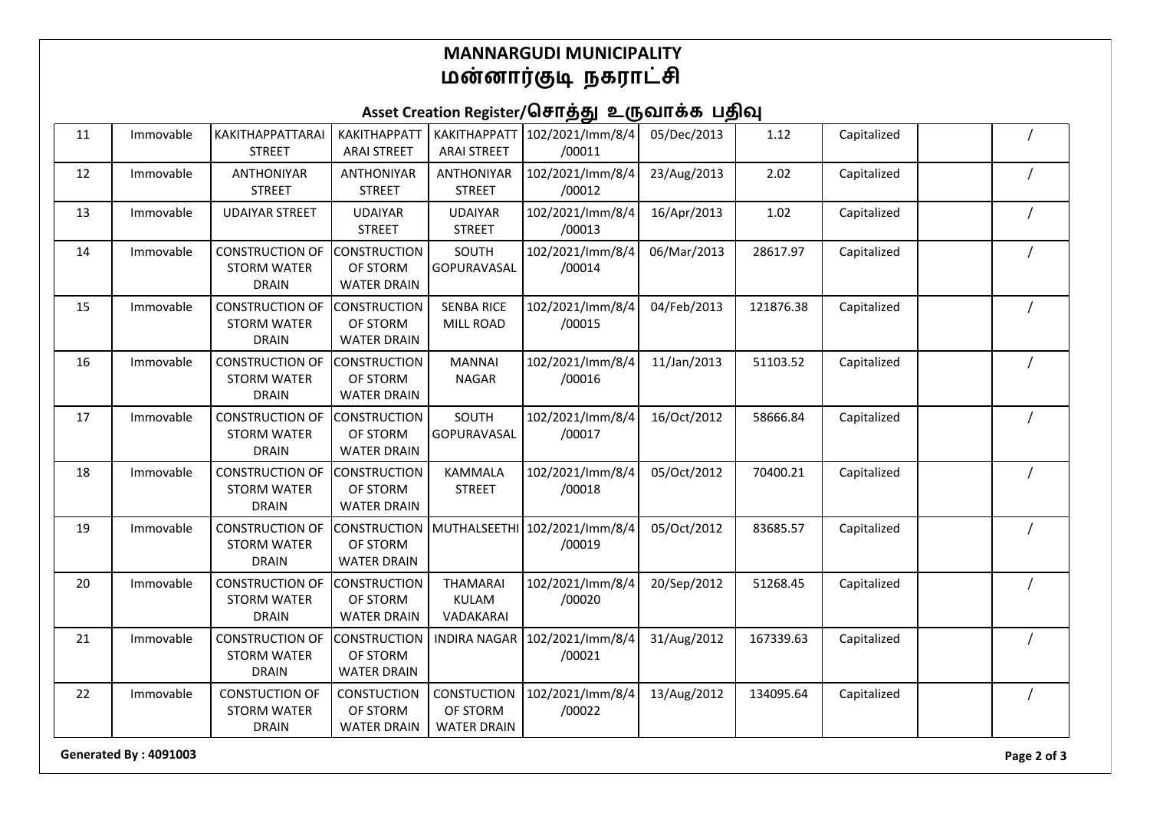### **MANNARGUDI MUNICIPALITY** <u>மன்னார்குடி</u> நகராட்சி

# Asset Creation Register/சொத்து உருவாக்க பதிவு

| 11 | Immovable | KAKITHAPPATTARAI<br><b>STREET</b>                            | <b>KAKITHAPPATT</b><br><b>ARAI STREET</b>             | <b>KAKITHAPPATT</b><br><b>ARAI STREET</b>            | 102/2021/lmm/8/4<br>/00011              | 05/Dec/2013 | 1.12      | Capitalized |  |
|----|-----------|--------------------------------------------------------------|-------------------------------------------------------|------------------------------------------------------|-----------------------------------------|-------------|-----------|-------------|--|
| 12 | Immovable | <b>ANTHONIYAR</b><br><b>STREET</b>                           | <b>ANTHONIYAR</b><br><b>STREET</b>                    | <b>ANTHONIYAR</b><br><b>STREET</b>                   | 102/2021/lmm/8/4<br>/00012              | 23/Aug/2013 | 2.02      | Capitalized |  |
| 13 | Immovable | <b>UDAIYAR STREET</b>                                        | <b>UDAIYAR</b><br><b>STREET</b>                       | <b>UDAIYAR</b><br><b>STREET</b>                      | 102/2021/lmm/8/4<br>/00013              | 16/Apr/2013 | 1.02      | Capitalized |  |
| 14 | Immovable | <b>CONSTRUCTION OF</b><br><b>STORM WATER</b><br><b>DRAIN</b> | <b>CONSTRUCTION</b><br>OF STORM<br><b>WATER DRAIN</b> | SOUTH<br>GOPURAVASAL                                 | 102/2021/lmm/8/4<br>/00014              | 06/Mar/2013 | 28617.97  | Capitalized |  |
| 15 | Immovable | <b>CONSTRUCTION OF</b><br><b>STORM WATER</b><br><b>DRAIN</b> | <b>CONSTRUCTION</b><br>OF STORM<br><b>WATER DRAIN</b> | <b>SENBA RICE</b><br>MILL ROAD                       | 102/2021/lmm/8/4<br>/00015              | 04/Feb/2013 | 121876.38 | Capitalized |  |
| 16 | Immovable | <b>CONSTRUCTION OF</b><br><b>STORM WATER</b><br><b>DRAIN</b> | <b>CONSTRUCTION</b><br>OF STORM<br><b>WATER DRAIN</b> | <b>MANNAI</b><br><b>NAGAR</b>                        | 102/2021/lmm/8/4<br>/00016              | 11/Jan/2013 | 51103.52  | Capitalized |  |
| 17 | Immovable | <b>CONSTRUCTION OF</b><br><b>STORM WATER</b><br><b>DRAIN</b> | <b>CONSTRUCTION</b><br>OF STORM<br><b>WATER DRAIN</b> | SOUTH<br>GOPURAVASAL                                 | 102/2021/lmm/8/4<br>/00017              | 16/Oct/2012 | 58666.84  | Capitalized |  |
| 18 | Immovable | <b>CONSTRUCTION OF</b><br><b>STORM WATER</b><br><b>DRAIN</b> | <b>CONSTRUCTION</b><br>OF STORM<br><b>WATER DRAIN</b> | <b>KAMMALA</b><br><b>STREET</b>                      | 102/2021/lmm/8/4<br>/00018              | 05/Oct/2012 | 70400.21  | Capitalized |  |
| 19 | Immovable | <b>CONSTRUCTION OF</b><br><b>STORM WATER</b><br><b>DRAIN</b> | <b>CONSTRUCTION</b><br>OF STORM<br><b>WATER DRAIN</b> |                                                      | MUTHALSEETHI 102/2021/Imm/8/4<br>/00019 | 05/Oct/2012 | 83685.57  | Capitalized |  |
| 20 | Immovable | <b>CONSTRUCTION OF</b><br><b>STORM WATER</b><br><b>DRAIN</b> | <b>CONSTRUCTION</b><br>OF STORM<br><b>WATER DRAIN</b> | <b>THAMARAI</b><br>KULAM<br>VADAKARAI                | 102/2021/lmm/8/4<br>/00020              | 20/Sep/2012 | 51268.45  | Capitalized |  |
| 21 | Immovable | <b>CONSTRUCTION OF</b><br><b>STORM WATER</b><br><b>DRAIN</b> | <b>CONSTRUCTION</b><br>OF STORM<br><b>WATER DRAIN</b> |                                                      | INDIRA NAGAR 102/2021/Imm/8/4<br>/00021 | 31/Aug/2012 | 167339.63 | Capitalized |  |
| 22 | Immovable | <b>CONSTUCTION OF</b><br><b>STORM WATER</b><br><b>DRAIN</b>  | <b>CONSTUCTION</b><br>OF STORM<br><b>WATER DRAIN</b>  | <b>CONSTUCTION</b><br>OF STORM<br><b>WATER DRAIN</b> | 102/2021/lmm/8/4<br>/00022              | 13/Aug/2012 | 134095.64 | Capitalized |  |